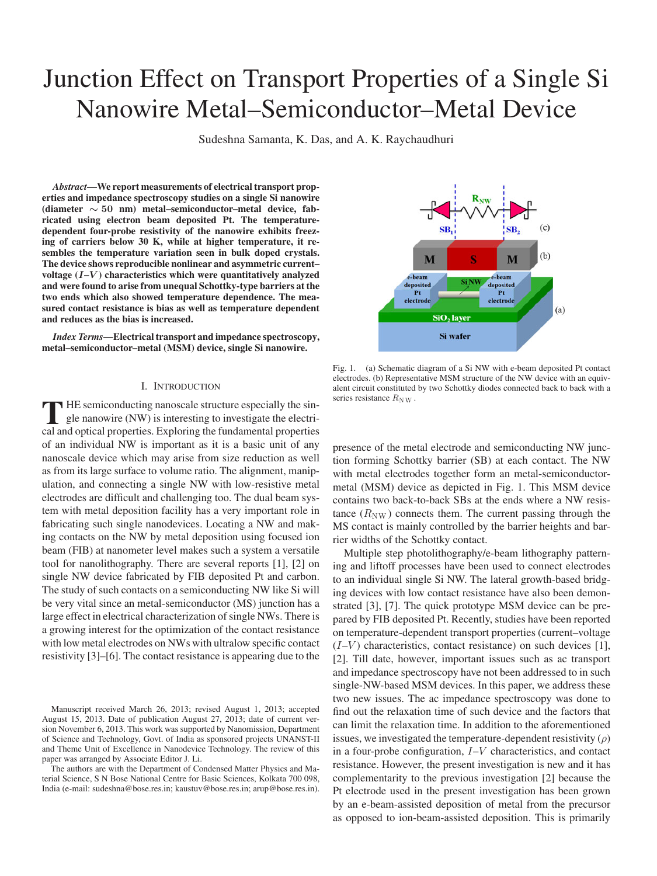# Junction Effect on Transport Properties of a Single Si Nanowire Metal–Semiconductor–Metal Device

Sudeshna Samanta, K. Das, and A. K. Raychaudhuri

*Abstract***—We report measurements of electrical transport properties and impedance spectroscopy studies on a single Si nanowire (diameter** *∼* **50 nm) metal–semiconductor–metal device, fabricated using electron beam deposited Pt. The temperaturedependent four-probe resistivity of the nanowire exhibits freezing of carriers below 30 K, while at higher temperature, it resembles the temperature variation seen in bulk doped crystals. The device shows reproducible nonlinear and asymmetric current– voltage (***I***–***V* **) characteristics which were quantitatively analyzed and were found to arise from unequal Schottky-type barriers at the two ends which also showed temperature dependence. The measured contact resistance is bias as well as temperature dependent and reduces as the bias is increased.**

*Index Terms***—Electrical transport and impedance spectroscopy, metal–semiconductor–metal (MSM) device, single Si nanowire.**

# I. INTRODUCTION

**T** HE semiconducting nanoscale structure especially the single nanowire (NW) is interesting to investigate the electrical and optical properties. Exploring the fundamental properties of an individual NW is important as it is a basic unit of any nanoscale device which may arise from size reduction as well as from its large surface to volume ratio. The alignment, manipulation, and connecting a single NW with low-resistive metal electrodes are difficult and challenging too. The dual beam system with metal deposition facility has a very important role in fabricating such single nanodevices. Locating a NW and making contacts on the NW by metal deposition using focused ion beam (FIB) at nanometer level makes such a system a versatile tool for nanolithography. There are several reports [1], [2] on single NW device fabricated by FIB deposited Pt and carbon. The study of such contacts on a semiconducting NW like Si will be very vital since an metal-semiconductor (MS) junction has a large effect in electrical characterization of single NWs. There is a growing interest for the optimization of the contact resistance with low metal electrodes on NWs with ultralow specific contact resistivity [3]–[6]. The contact resistance is appearing due to the

The authors are with the Department of Condensed Matter Physics and Material Science, S N Bose National Centre for Basic Sciences, Kolkata 700 098, India (e-mail: sudeshna@bose.res.in; kaustuv@bose.res.in; arup@bose.res.in).



Fig. 1. (a) Schematic diagram of a Si NW with e-beam deposited Pt contact electrodes. (b) Representative MSM structure of the NW device with an equivalent circuit constituted by two Schottky diodes connected back to back with a series resistance  $R_{\text{NW}}$ .

presence of the metal electrode and semiconducting NW junction forming Schottky barrier (SB) at each contact. The NW with metal electrodes together form an metal-semiconductormetal (MSM) device as depicted in Fig. 1. This MSM device contains two back-to-back SBs at the ends where a NW resistance  $(R_{\text{NW}})$  connects them. The current passing through the MS contact is mainly controlled by the barrier heights and barrier widths of the Schottky contact.

Multiple step photolithography/e-beam lithography patterning and liftoff processes have been used to connect electrodes to an individual single Si NW. The lateral growth-based bridging devices with low contact resistance have also been demonstrated [3], [7]. The quick prototype MSM device can be prepared by FIB deposited Pt. Recently, studies have been reported on temperature-dependent transport properties (current–voltage  $(I-V)$  characteristics, contact resistance) on such devices [1], [2]. Till date, however, important issues such as ac transport and impedance spectroscopy have not been addressed to in such single-NW-based MSM devices. In this paper, we address these two new issues. The ac impedance spectroscopy was done to find out the relaxation time of such device and the factors that can limit the relaxation time. In addition to the aforementioned issues, we investigated the temperature-dependent resistivity  $(\rho)$ in a four-probe configuration, I–V characteristics, and contact resistance. However, the present investigation is new and it has complementarity to the previous investigation [2] because the Pt electrode used in the present investigation has been grown by an e-beam-assisted deposition of metal from the precursor as opposed to ion-beam-assisted deposition. This is primarily

Manuscript received March 26, 2013; revised August 1, 2013; accepted August 15, 2013. Date of publication August 27, 2013; date of current version November 6, 2013. This work was supported by Nanomission, Department of Science and Technology, Govt. of India as sponsored projects UNANST-II and Theme Unit of Excellence in Nanodevice Technology. The review of this paper was arranged by Associate Editor J. Li.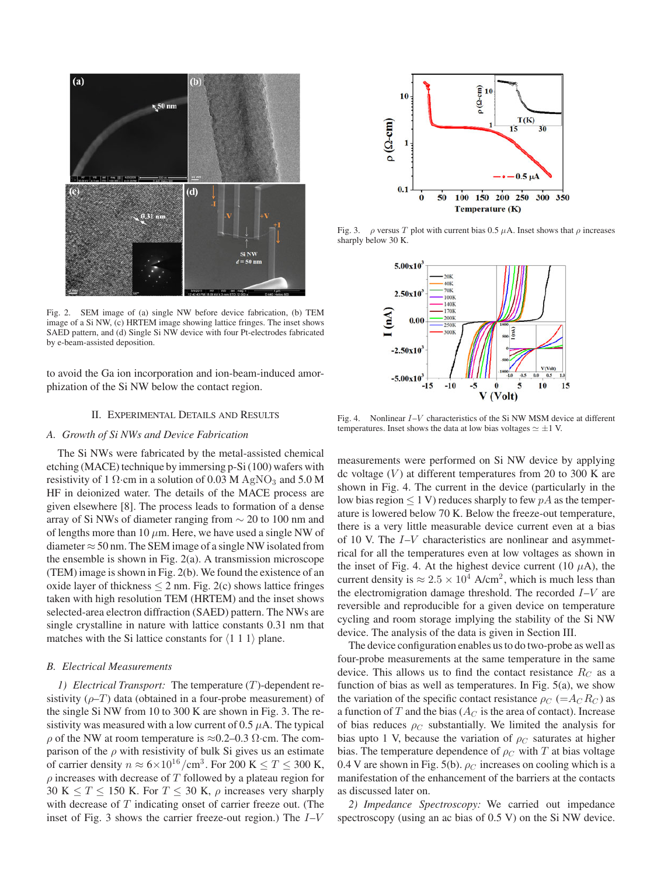

Fig. 2. SEM image of (a) single NW before device fabrication, (b) TEM image of a Si NW, (c) HRTEM image showing lattice fringes. The inset shows SAED pattern, and (d) Single Si NW device with four Pt-electrodes fabricated by e-beam-assisted deposition.

to avoid the Ga ion incorporation and ion-beam-induced amorphization of the Si NW below the contact region.

## II. EXPERIMENTAL DETAILS AND RESULTS

### *A. Growth of Si NWs and Device Fabrication*

The Si NWs were fabricated by the metal-assisted chemical etching (MACE) technique by immersing p-Si (100) wafers with resistivity of 1  $\Omega$ ·cm in a solution of 0.03 M AgNO<sub>3</sub> and 5.0 M HF in deionized water. The details of the MACE process are given elsewhere [8]. The process leads to formation of a dense array of Si NWs of diameter ranging from ∼ 20 to 100 nm and of lengths more than 10  $\mu$ m. Here, we have used a single NW of diameter  $\approx$  50 nm. The SEM image of a single NW isolated from the ensemble is shown in Fig. 2(a). A transmission microscope (TEM) image is shown in Fig. 2(b). We found the existence of an oxide layer of thickness  $\leq 2$  nm. Fig. 2(c) shows lattice fringes taken with high resolution TEM (HRTEM) and the inset shows selected-area electron diffraction (SAED) pattern. The NWs are single crystalline in nature with lattice constants 0.31 nm that matches with the Si lattice constants for  $\langle 1\ 1\ 1 \rangle$  plane.

# *B. Electrical Measurements*

*1) Electrical Transport:* The temperature (T)-dependent resistivity  $(\rho-T)$  data (obtained in a four-probe measurement) of the single Si NW from 10 to 300 K are shown in Fig. 3. The resistivity was measured with a low current of 0.5  $\mu$ A. The typical  $ρ$  of the NW at room temperature is ≈0.2–0.3 Ω⋅cm. The comparison of the  $\rho$  with resistivity of bulk Si gives us an estimate of carrier density  $n \approx 6 \times 10^{16} / \text{cm}^3$ . For 200 K  $\leq T \leq 300$  K,  $\rho$  increases with decrease of T followed by a plateau region for 30 K  $\leq T \leq$  150 K. For  $T \leq 30$  K,  $\rho$  increases very sharply with decrease of  $T$  indicating onset of carrier freeze out. (The inset of Fig. 3 shows the carrier freeze-out region.) The  $I-V$ 



Fig. 3.  $\rho$  versus T plot with current bias 0.5  $\mu$ A. Inset shows that  $\rho$  increases sharply below 30 K.



Fig. 4. Nonlinear  $I-V$  characteristics of the Si NW MSM device at different temperatures. Inset shows the data at low bias voltages  $\simeq \pm 1$  V.

measurements were performed on Si NW device by applying dc voltage  $(V)$  at different temperatures from 20 to 300 K are shown in Fig. 4. The current in the device (particularly in the low bias region  $\leq 1$  V) reduces sharply to few  $pA$  as the temperature is lowered below 70 K. Below the freeze-out temperature, there is a very little measurable device current even at a bias of 10 V. The I–V characteristics are nonlinear and asymmetrical for all the temperatures even at low voltages as shown in the inset of Fig. 4. At the highest device current (10  $\mu$ A), the current density is  $\approx 2.5 \times 10^4$  A/cm<sup>2</sup>, which is much less than the electromigration damage threshold. The recorded  $I-V$  are reversible and reproducible for a given device on temperature cycling and room storage implying the stability of the Si NW device. The analysis of the data is given in Section III.

The device configuration enables us to do two-probe as well as four-probe measurements at the same temperature in the same device. This allows us to find the contact resistance  $R_C$  as a function of bias as well as temperatures. In Fig. 5(a), we show the variation of the specific contact resistance  $\rho_C = A_C R_C$  as a function of T and the bias ( $A_C$  is the area of contact). Increase of bias reduces  $\rho_C$  substantially. We limited the analysis for bias upto 1 V, because the variation of  $\rho_C$  saturates at higher bias. The temperature dependence of  $\rho_C$  with T at bias voltage 0.4 V are shown in Fig. 5(b).  $\rho_C$  increases on cooling which is a manifestation of the enhancement of the barriers at the contacts as discussed later on.

*2) Impedance Spectroscopy:* We carried out impedance spectroscopy (using an ac bias of 0.5 V) on the Si NW device.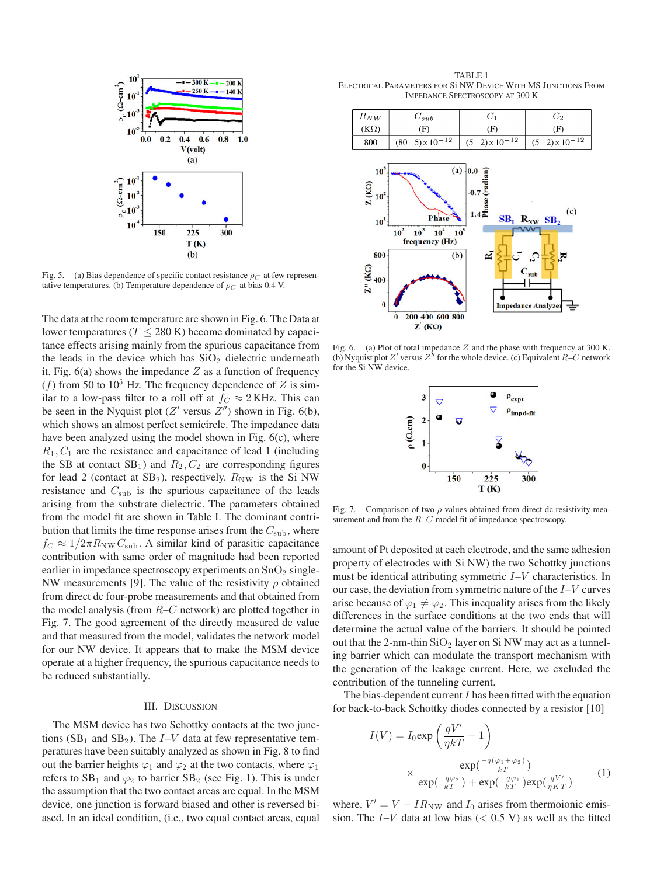

Fig. 5. (a) Bias dependence of specific contact resistance  $\rho_C$  at few representative temperatures. (b) Temperature dependence of  $\rho_C$  at bias 0.4 V.

The data at the room temperature are shown in Fig. 6. The Data at lower temperatures ( $T \leq 280$  K) become dominated by capacitance effects arising mainly from the spurious capacitance from the leads in the device which has  $SiO<sub>2</sub>$  dielectric underneath it. Fig.  $6(a)$  shows the impedance Z as a function of frequency (f) from 50 to  $10^5$  Hz. The frequency dependence of Z is similar to a low-pass filter to a roll off at  $f_C \approx 2$  KHz. This can be seen in the Nyquist plot ( $Z'$  versus  $Z''$ ) shown in Fig. 6(b), which shows an almost perfect semicircle. The impedance data have been analyzed using the model shown in Fig. 6(c), where  $R_1, C_1$  are the resistance and capacitance of lead 1 (including the SB at contact  $SB_1$ ) and  $R_2, C_2$  are corresponding figures for lead 2 (contact at  $SB_2$ ), respectively.  $R_{NW}$  is the Si NW resistance and  $C_{\text{sub}}$  is the spurious capacitance of the leads arising from the substrate dielectric. The parameters obtained from the model fit are shown in Table I. The dominant contribution that limits the time response arises from the  $C_{\text{sub}}$ , where  $f_C \approx 1/2\pi R_{\text{NW}} C_{\text{sub}}$ . A similar kind of parasitic capacitance contribution with same order of magnitude had been reported earlier in impedance spectroscopy experiments on  $SnO<sub>2</sub>$  single-NW measurements [9]. The value of the resistivity  $\rho$  obtained from direct dc four-probe measurements and that obtained from the model analysis (from  $R-C$  network) are plotted together in Fig. 7. The good agreement of the directly measured dc value and that measured from the model, validates the network model for our NW device. It appears that to make the MSM device operate at a higher frequency, the spurious capacitance needs to be reduced substantially.

# III. DISCUSSION

The MSM device has two Schottky contacts at the two junctions (SB<sub>1</sub> and SB<sub>2</sub>). The  $I-V$  data at few representative temperatures have been suitably analyzed as shown in Fig. 8 to find out the barrier heights  $\varphi_1$  and  $\varphi_2$  at the two contacts, where  $\varphi_1$ refers to  $SB_1$  and  $\varphi_2$  to barrier  $SB_2$  (see Fig. 1). This is under the assumption that the two contact areas are equal. In the MSM device, one junction is forward biased and other is reversed biased. In an ideal condition, (i.e., two equal contact areas, equal

TABLE 1 ELECTRICAL PARAMETERS FOR Si NW DEVICE WITH MS JUNCTIONS FROM IMPEDANCE SPECTROSCOPY AT 300 K



Fig. 6. (a) Plot of total impedance  $Z$  and the phase with frequency at 300 K. (b) Nyquist plot  $Z'$  versus  $Z''$  for the whole device. (c) Equivalent  $R-C$  network for the Si NW device.



Fig. 7. Comparison of two  $\rho$  values obtained from direct dc resistivity measurement and from the  $R-C$  model fit of impedance spectroscopy.

amount of Pt deposited at each electrode, and the same adhesion property of electrodes with Si NW) the two Schottky junctions must be identical attributing symmetric I–V characteristics. In our case, the deviation from symmetric nature of the  $I-V$  curves arise because of  $\varphi_1 \neq \varphi_2$ . This inequality arises from the likely differences in the surface conditions at the two ends that will determine the actual value of the barriers. It should be pointed out that the 2-nm-thin  $SiO<sub>2</sub>$  layer on Si NW may act as a tunneling barrier which can modulate the transport mechanism with the generation of the leakage current. Here, we excluded the contribution of the tunneling current.

The bias-dependent current  $I$  has been fitted with the equation for back-to-back Schottky diodes connected by a resistor [10]

$$
I(V) = I_0 \exp\left(\frac{qV'}{\eta kT} - 1\right)
$$

$$
\times \frac{\exp(\frac{-q(\varphi_1 + \varphi_2)}{kT})}{\exp(\frac{-q\varphi_2}{kT}) + \exp(\frac{-q\varphi_1}{kT})\exp(\frac{qV'}{\eta KT})}
$$
(1)

where,  $V' = V - IR_{NW}$  and  $I_0$  arises from thermoionic emission. The  $I-V$  data at low bias ( $< 0.5$  V) as well as the fitted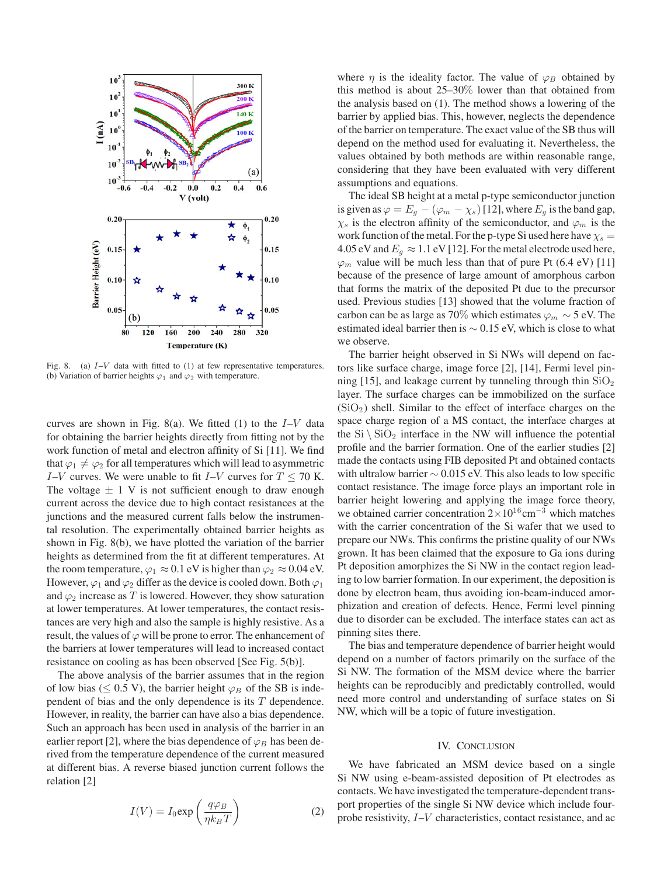

Fig. 8. (a)  $I-V$  data with fitted to (1) at few representative temperatures. (b) Variation of barrier heights  $\varphi_1$  and  $\varphi_2$  with temperature.

curves are shown in Fig. 8(a). We fitted (1) to the  $I-V$  data for obtaining the barrier heights directly from fitting not by the work function of metal and electron affinity of Si [11]. We find that  $\varphi_1 \neq \varphi_2$  for all temperatures which will lead to asymmetric I–V curves. We were unable to fit I–V curves for  $T \le 70$  K. The voltage  $\pm$  1 V is not sufficient enough to draw enough current across the device due to high contact resistances at the junctions and the measured current falls below the instrumental resolution. The experimentally obtained barrier heights as shown in Fig. 8(b), we have plotted the variation of the barrier heights as determined from the fit at different temperatures. At the room temperature,  $\varphi_1 \approx 0.1$  eV is higher than  $\varphi_2 \approx 0.04$  eV. However,  $\varphi_1$  and  $\varphi_2$  differ as the device is cooled down. Both  $\varphi_1$ and  $\varphi_2$  increase as T is lowered. However, they show saturation at lower temperatures. At lower temperatures, the contact resistances are very high and also the sample is highly resistive. As a result, the values of  $\varphi$  will be prone to error. The enhancement of the barriers at lower temperatures will lead to increased contact resistance on cooling as has been observed [See Fig. 5(b)].

The above analysis of the barrier assumes that in the region of low bias ( $\leq$  0.5 V), the barrier height  $\varphi_B$  of the SB is independent of bias and the only dependence is its  $T$  dependence. However, in reality, the barrier can have also a bias dependence. Such an approach has been used in analysis of the barrier in an earlier report [2], where the bias dependence of  $\varphi_B$  has been derived from the temperature dependence of the current measured at different bias. A reverse biased junction current follows the relation [2]

$$
I(V) = I_0 \exp\left(\frac{q\varphi_B}{\eta k_B T}\right) \tag{2}
$$

where  $\eta$  is the ideality factor. The value of  $\varphi_B$  obtained by this method is about 25–30% lower than that obtained from the analysis based on (1). The method shows a lowering of the barrier by applied bias. This, however, neglects the dependence of the barrier on temperature. The exact value of the SB thus will depend on the method used for evaluating it. Nevertheless, the values obtained by both methods are within reasonable range, considering that they have been evaluated with very different assumptions and equations.

The ideal SB height at a metal p-type semiconductor junction is given as  $\varphi = E_g - (\varphi_m - \chi_s)$  [12], where  $E_g$  is the band gap,  $\chi_s$  is the electron affinity of the semiconductor, and  $\varphi_m$  is the work function of the metal. For the p-type Si used here have  $\chi_s =$ 4.05 eV and  $E_g \approx 1.1$  eV [12]. For the metal electrode used here,  $\varphi_m$  value will be much less than that of pure Pt (6.4 eV) [11] because of the presence of large amount of amorphous carbon that forms the matrix of the deposited Pt due to the precursor used. Previous studies [13] showed that the volume fraction of carbon can be as large as 70% which estimates  $\varphi_m \sim 5$  eV. The estimated ideal barrier then is ∼ 0.15 eV, which is close to what we observe.

The barrier height observed in Si NWs will depend on factors like surface charge, image force [2], [14], Fermi level pinning [15], and leakage current by tunneling through thin  $SiO<sub>2</sub>$ layer. The surface charges can be immobilized on the surface  $(SiO<sub>2</sub>)$  shell. Similar to the effect of interface charges on the space charge region of a MS contact, the interface charges at the  $Si \ SiO_2$  interface in the NW will influence the potential profile and the barrier formation. One of the earlier studies [2] made the contacts using FIB deposited Pt and obtained contacts with ultralow barrier ∼ 0.015 eV. This also leads to low specific contact resistance. The image force plays an important role in barrier height lowering and applying the image force theory, we obtained carrier concentration  $2\times10^{16}$  cm<sup>-3</sup> which matches with the carrier concentration of the Si wafer that we used to prepare our NWs. This confirms the pristine quality of our NWs grown. It has been claimed that the exposure to Ga ions during Pt deposition amorphizes the Si NW in the contact region leading to low barrier formation. In our experiment, the deposition is done by electron beam, thus avoiding ion-beam-induced amorphization and creation of defects. Hence, Fermi level pinning due to disorder can be excluded. The interface states can act as pinning sites there.

The bias and temperature dependence of barrier height would depend on a number of factors primarily on the surface of the Si NW. The formation of the MSM device where the barrier heights can be reproducibly and predictably controlled, would need more control and understanding of surface states on Si NW, which will be a topic of future investigation.

## IV. CONCLUSION

We have fabricated an MSM device based on a single Si NW using e-beam-assisted deposition of Pt electrodes as contacts. We have investigated the temperature-dependent transport properties of the single Si NW device which include fourprobe resistivity, I–V characteristics, contact resistance, and ac